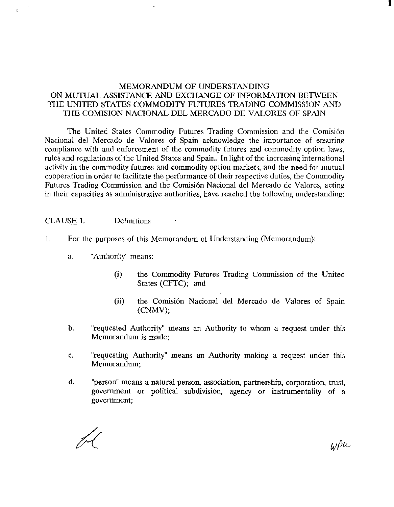# MEMORANDUM OF UNDERSTANDING ON MUTUAL ASSISTANCE AND EXCHANGE OF INFORMATION BETWEEN THE UNITED STATES COMMODITY FUTURES TRADING COMMISSION AND THE COMISION NACIONAL DEL MERCADO DE VALORES OF SPAIN

The United States Commodity Futures Trading Commission and the Comisión Nacional del Mercado de Valores of Spain acknowledge the importance of ensuring compliance with and enforcement of the commodity futures and commodity option laws, rules and regulations of the United States and Spain. In light of the increasing international activity in the commodity futures and commodity option markets, and the need for mutual cooperation in order to facilitate the performance of their respective duties, the Commodity Futures Trading Commission and the Comisión Nacional del Mercado de Valores, acting in their capacities as administrative authorities, have reached the following understanding:

CLAUSE 1. Definitiom;

- 1. For the purposes of this Memorandum of Understanding (Memorandum):
	- a. "Authority" means:
		- (i) the Commodity Futures Trading Commission of the United States (CFTC); and
		- (ii) the Comisi6n Nacional del Mercado de Valores of Spain (CNMV);
	- b. "requested Authority" means an Authority to whom a request under this Memorandum is made;
	- c. "requesting Authority" means an Authority making a request under this Memorandum;
	- d. "person" meam; a natural person, association, partnership, corporation, trust, government or political subdivision, agency or instrumentality of a government;

WPa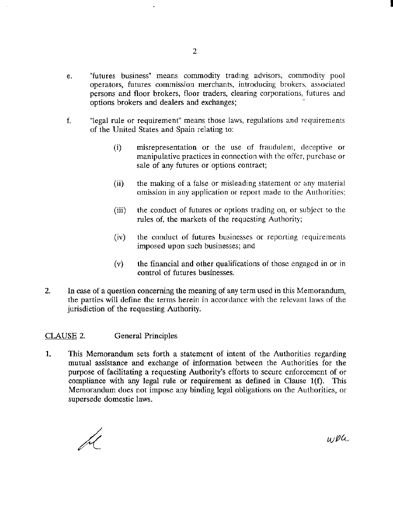- e. "futures business" means commodity trading advisors, commodity pool operators, futures commission merchants, introducing brokers, associated persons and floor brokers, floor traders, clearing corporations, futures and options brokers and dealers and exchanges; -
- f. "legal rule or requirement" means those laws, regulations and requirements of the United States and Spain relating to:
	- (i) misrepresentation or the use of fraudulent, deceptive or manipulative practices in connection with the offer, purchase or sale of any futures or options contract;
	- (ii) the making of a false or misleading statement or any material omission in any application or report made to the Authorities;
	- (iii) the conduct of futures or options trading on, or subject to the rules of, the markets of the requesting Authority;
	- (iv) the conduct of futures businesses or reporting requirements imposed upon such businesses; and
	- (v) the financial and other qualifications of those engaged in or in control of futures businesses.
- 2. In case of a question concerning the meaning of any term used in this Memorandum, the parties will define the terms herein in accordance with the relevant laws of the jurisdiction of the requesting Authority.

# CLAUSE 2. General Principles

1. This Memorandum sets forth a statement of intent of the Authorities regarding mutual assistance and exchange of information between the Authorities for the purpose of facilitating a requesting Authority's efforts to secure enforcement of or compliance with any legal rule or requirement as defined in Clause 1(f). This Memorandum does not impose any binding legal obligations on the Authorities, or supersede domestic laws.

wea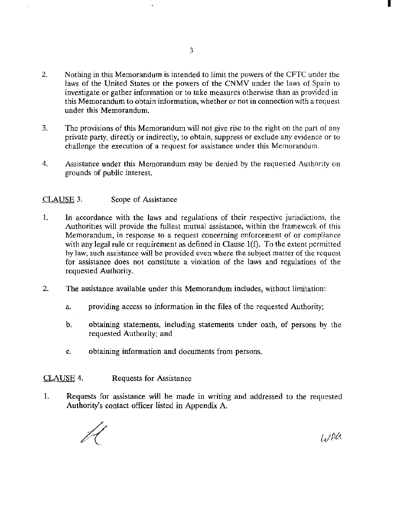- 2. Nothing in this Memorandum is intended to limit the powers of the CFTC under the laws of the United States or the powers of the CNMV under the laws of Spain to investigate or gather information or to take measures otherwise than as provided in this Memorandum to obtain information, whether or not in connection wilh a request under this Memorandum.
- 3. The provisions of this Memorandum will not give rise to the right on the part of any private party, directly or indirectly, to obtain, suppress or exclude any evidence or *to*  challenge the execution of a request for assistance under this Memorandum.
- 4. Assistance under this Memorandum may be denied by the requested Authority on grounds of public interest.

# CLAUSE 3. Scope of Assistance

- 1. In accordance with the laws and regulations of their respective jurisdictions, the Authorities will provide the fullest mutual assistance, within the framework of this Memorandum, in response to a request concerning enforcement of or compliance with any legal rule or requirement as defined in Clause 1(f). To the extent permitted hy law, such assistance will be provided even where the subject matter of the request for assistance does not constitute a violation of the laws and regulations of the requested Authority.
- 2. The assistance available under this Memorandum includes, without limitation:
	- a. providing access to information in the files of the requested Authority;
	- b. obtaining statements, including statements under oath, of persons by the requested Authority; and
	- c. obtaining information and documents from persons.

# CLAUSE 4. Requests for Assistance

1. Requests for assistance will be made in writing and addressed to the requested Authority's contact officer listed in Appendix A

WAU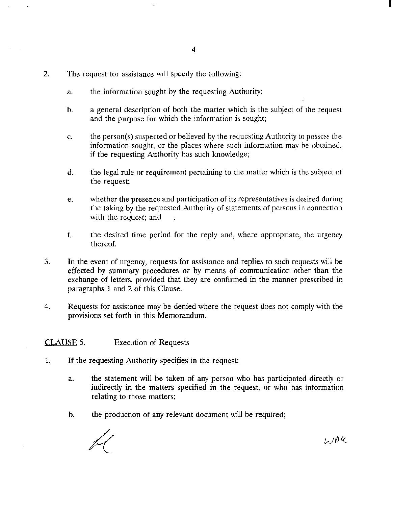- 2. The request for assistance will specify the following:
	- a. the information sought by the requesting Authority;
	- b. a general description of both the matter which is the subject of the request and the purpose for which the information is sought;
	- c. the person(s) suspected or believed by the requesting Authority to possess the information sought, or the places where such information may be obtained, if the requesting Authority has such knowledge;
	- d. the legal rule or requirement pertaining to the matter which is the subject of the request;
	- e. whether the presence and participation of its representatives is desired during the taking by the requested Authority of statements of persons in connection with the request; and
	- f. the desired time period for the reply and, where appropriate, the urgency thereof.
- 3. In the event of urgency, requests for assistance and replies to such requests will be effected by summary procedures or by means of communication other than the exchange of letters, provided that they are confirmed in the manner prescribed in paragraphs 1 and 2 of this Clause.
- 4. Requests for assistance may be denied where the request does not comply with the provisions set forth in this Memorandum.

### CLAUSE 5. Execution of Requests

- 1. If the requesting Authority specifies in the request:
	- a. the statement will be taken of any person who has participated directly or indirectly in the matters specified in the request, or who has information relating to those matters;
	- b. the production of any relevant document will be required;

WAQ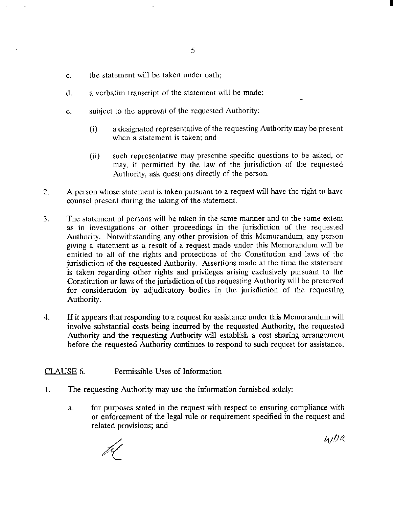- c. the statement will he taken under oath;
- d. a verbatim transcript of the statement will be made;
- e. subject to the approval of the requested Authority:
	- (i) a designated representative of the requesting Authority may be present when a statement is taken; and
	- (ii) such representative may prescribe specific questions to be asked, or may, if permitted by the law of the jurisdiction of the requested Authority, ask questions directly of the person.
- 2. A person whose statement is taken pursuant to a request will have the right to have counsel present during the taking of the statement.
- 3. The statement of persons will be taken in the same manner and to the same extent as in investigations or other proceedings in the jurisdiction of the requested Authority. Notwithstanding any other provision of this Memorandum, any person giving a statement as a result of a request made under this Memorandum will be entitled to all of the rights and protections of the Constitution and laws of the jurisdiction of the requested Authority. Assertions made at the time the statement is taken regarding other rights and privileges arising exclusively pursuant to the Constitution or laws of the jurisdiction of the requesting Authority will be preserved for consideration by adjudicatory bodies in the jurisdiction of the requesting Authority.
- 4. If it appears that responding to a request for assistance under this Memorandum will involve substantial costs being incurred by the requested Authority, the requested Authority and the requesting Authority will establish a cost sharing arrangement before the requested Authority continues to respond to such request for assistance.

# CLAUSE6. Permissible Uses of Information

- 1. The requesting Authority may use the information furnished solely:
	- a. for purposes stated in the request with respect to ensuring compliance with or enforcement of the legal rule or requirement specified in the request and related provisions; and

 $4/Da$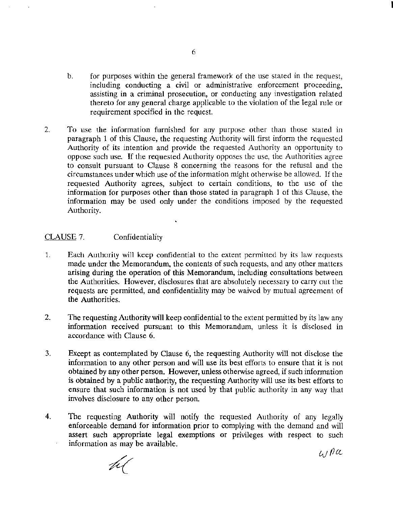- b. for purposes within the general framework of the use stated in the request, including conducting a civil or administrative enforcement proceeding, assisting in a criminal prosecution, or conducting any investigation related thereto for any general charge applicable to the violation of the legal rule or requirement specified in the request.
- 2. To use the information furnished for any purpose other than those stated in paragraph 1 of this Clause, the requesting Authority will first inform the requested Authority of its intention and provide the requested Authority an opportunity to oppose such use. If the requested Authority opposes the use, the Authorities agree to consult pursuant to Clause 8 concerning the reasons for the refusal and the circumstances under which use of the information might otherwise he allowed. If the requested Authority agrees, subject to certain conditions, to the use of the information for purposes other than those stated in paragraph 1 of this Clause, the information may be used only under the conditions imposed by the requested Authority.

## CLAUSE7. Confidentiality

- 1. Each Authority will keep confidential to the extent permitted hy its law requests made under the Memorandum, the contents of such requests, and any other matters arising during the operation of this Memorandum, including consultations between the Authorities. However, disclosures that are absolutely necessary to carry out the requests are permitted, and confidentiality may be waived by mutual agreement of the Authorities.
- 2. The requesting Authority will keep confidential to the extent permitted by its law any information received pursuant to this Memorandum, unless it is disclosed in accordance with Clause 6.
- 3. Except as contemplated by Clause 6, the requesting Authority will not disclose the information to any other person and will use its best efforts to ensure that it is not obtained by any other person. However, unless otherwise agreed, if such information is obtained by a public authority, the requesting Authority will use its best efforts to ensure that such information is not used by that public authority in any way that involves disclosure to any other person.
- 4. The requesting Authority will notify the requested Authority of any legally enforceable demand for information prior to complying with the demand and will assert such appropriate legal exemptions or privileges with respect to such information as may be available.

 $41n\alpha$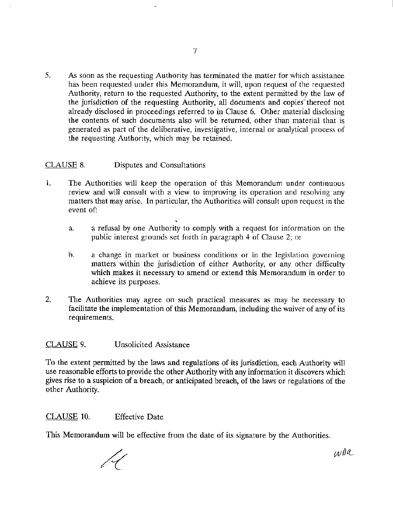5. As soon as the requesting Authority has terminated the matter for which assistance has been requested under this Memorandum, it will, upon request of the requested Authority, return to the requested Authority, to the extent permitted by the law of the jurisdiction of the requesting Authority, all documents and copies thereof not already disclosed in proceedings referred to in Clause 6. Other material disclosing the contents of such documents also will be returned, other than material that is generated as part of the deliberative, investigative, internal or analytical process of the requesting Authority, which may be retained.

# CLAUSE 8. Disputes and Consultations

- 1. The Authorities will keep the operation of this Memorandum under continuous review and will consult with a view to improving its operation and resolving any matters that may arise. In particular, the Authorities will consult upon request in the event of:
	- a. a refusal by one Authority to comply with a request for information on the public interest grounds set forth in paragraph 4 of Clause 2; or
	- b. a change in market or business conditions or in the legislation governing matters within the jurisdiction of either Authority, or any other difficulty which makes it necessary to amend or extend this Memorandum in order to achieve its purposes.
- 2. The Authorities may agree on such practical measures as may be necessary to facilitate the implementation of this Memorandum, including the waiver of any of its requirements.

# CLAUSE 9. Unsolicited Assistance

To the extent permitted by the laws and regulations of its jurisdiction, each Authority will use reasonable efforts to provide the other Authority with any information it discovers which gives rise to a suspicion of a breach, or anticipated breach, of the laws or regulations of the other Authority.

CLAUSE 10. Effective Date

This Memorandum will be effective from the date of its signature by the Authorities.

wDa